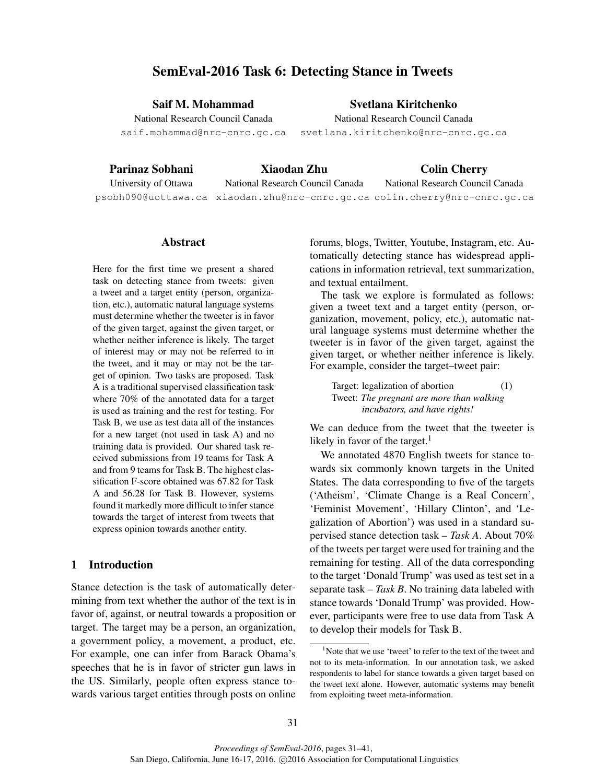# SemEval-2016 Task 6: Detecting Stance in Tweets

Saif M. Mohammad

Svetlana Kiritchenko

National Research Council Canada saif.mohammad@nrc-cnrc.gc.ca National Research Council Canada

svetlana.kiritchenko@nrc-cnrc.gc.ca

## Parinaz Sobhani

## Xiaodan Zhu

Colin Cherry

University of Ottawa

National Research Council Canada

psobh090@uottawa.ca xiaodan.zhu@nrc-cnrc.gc.ca colin.cherry@nrc-cnrc.gc.ca National Research Council Canada

### Abstract

Here for the first time we present a shared task on detecting stance from tweets: given a tweet and a target entity (person, organization, etc.), automatic natural language systems must determine whether the tweeter is in favor of the given target, against the given target, or whether neither inference is likely. The target of interest may or may not be referred to in the tweet, and it may or may not be the target of opinion. Two tasks are proposed. Task A is a traditional supervised classification task where 70% of the annotated data for a target is used as training and the rest for testing. For Task B, we use as test data all of the instances for a new target (not used in task A) and no training data is provided. Our shared task received submissions from 19 teams for Task A and from 9 teams for Task B. The highest classification F-score obtained was 67.82 for Task A and 56.28 for Task B. However, systems found it markedly more difficult to infer stance towards the target of interest from tweets that express opinion towards another entity.

## 1 Introduction

Stance detection is the task of automatically determining from text whether the author of the text is in favor of, against, or neutral towards a proposition or target. The target may be a person, an organization, a government policy, a movement, a product, etc. For example, one can infer from Barack Obama's speeches that he is in favor of stricter gun laws in the US. Similarly, people often express stance towards various target entities through posts on online forums, blogs, Twitter, Youtube, Instagram, etc. Automatically detecting stance has widespread applications in information retrieval, text summarization, and textual entailment.

The task we explore is formulated as follows: given a tweet text and a target entity (person, organization, movement, policy, etc.), automatic natural language systems must determine whether the tweeter is in favor of the given target, against the given target, or whether neither inference is likely. For example, consider the target–tweet pair:

Target: legalization of abortion (1) Tweet: *The pregnant are more than walking incubators, and have rights!*

We can deduce from the tweet that the tweeter is likely in favor of the target. $<sup>1</sup>$ </sup>

We annotated 4870 English tweets for stance towards six commonly known targets in the United States. The data corresponding to five of the targets ('Atheism', 'Climate Change is a Real Concern', 'Feminist Movement', 'Hillary Clinton', and 'Legalization of Abortion') was used in a standard supervised stance detection task – *Task A*. About 70% of the tweets per target were used for training and the remaining for testing. All of the data corresponding to the target 'Donald Trump' was used as test set in a separate task – *Task B*. No training data labeled with stance towards 'Donald Trump' was provided. However, participants were free to use data from Task A to develop their models for Task B.

<sup>&</sup>lt;sup>1</sup>Note that we use 'tweet' to refer to the text of the tweet and not to its meta-information. In our annotation task, we asked respondents to label for stance towards a given target based on the tweet text alone. However, automatic systems may benefit from exploiting tweet meta-information.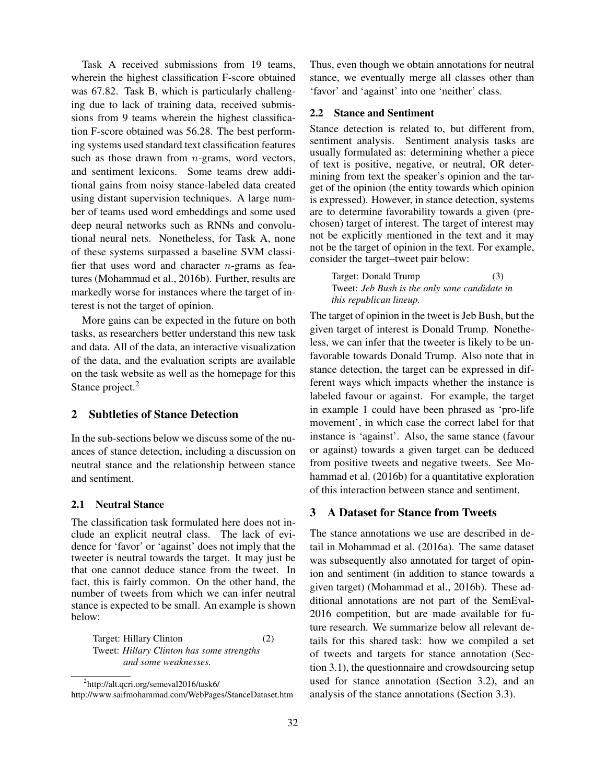Task A received submissions from 19 teams, wherein the highest classification F-score obtained was 67.82. Task B, which is particularly challenging due to lack of training data, received submissions from 9 teams wherein the highest classification F-score obtained was 56.28. The best performing systems used standard text classification features such as those drawn from  $n$ -grams, word vectors, and sentiment lexicons. Some teams drew additional gains from noisy stance-labeled data created using distant supervision techniques. A large number of teams used word embeddings and some used deep neural networks such as RNNs and convolutional neural nets. Nonetheless, for Task A, none of these systems surpassed a baseline SVM classifier that uses word and character  $n$ -grams as features (Mohammad et al., 2016b). Further, results are markedly worse for instances where the target of interest is not the target of opinion.

More gains can be expected in the future on both tasks, as researchers better understand this new task and data. All of the data, an interactive visualization of the data, and the evaluation scripts are available on the task website as well as the homepage for this Stance project.<sup>2</sup>

## 2 Subtleties of Stance Detection

In the sub-sections below we discuss some of the nuances of stance detection, including a discussion on neutral stance and the relationship between stance and sentiment.

### 2.1 Neutral Stance

The classification task formulated here does not include an explicit neutral class. The lack of evidence for 'favor' or 'against' does not imply that the tweeter is neutral towards the target. It may just be that one cannot deduce stance from the tweet. In fact, this is fairly common. On the other hand, the number of tweets from which we can infer neutral stance is expected to be small. An example is shown below:

Target: Hillary Clinton (2) Tweet: *Hillary Clinton has some strengths and some weaknesses.*

Thus, even though we obtain annotations for neutral stance, we eventually merge all classes other than 'favor' and 'against' into one 'neither' class.

#### 2.2 Stance and Sentiment

Stance detection is related to, but different from, sentiment analysis. Sentiment analysis tasks are usually formulated as: determining whether a piece of text is positive, negative, or neutral, OR determining from text the speaker's opinion and the target of the opinion (the entity towards which opinion is expressed). However, in stance detection, systems are to determine favorability towards a given (prechosen) target of interest. The target of interest may not be explicitly mentioned in the text and it may not be the target of opinion in the text. For example, consider the target–tweet pair below:

Target: Donald Trump (3) Tweet: *Jeb Bush is the only sane candidate in this republican lineup.*

The target of opinion in the tweet is Jeb Bush, but the given target of interest is Donald Trump. Nonetheless, we can infer that the tweeter is likely to be unfavorable towards Donald Trump. Also note that in stance detection, the target can be expressed in different ways which impacts whether the instance is labeled favour or against. For example, the target in example 1 could have been phrased as 'pro-life movement', in which case the correct label for that instance is 'against'. Also, the same stance (favour or against) towards a given target can be deduced from positive tweets and negative tweets. See Mohammad et al. (2016b) for a quantitative exploration of this interaction between stance and sentiment.

## 3 A Dataset for Stance from Tweets

The stance annotations we use are described in detail in Mohammad et al. (2016a). The same dataset was subsequently also annotated for target of opinion and sentiment (in addition to stance towards a given target) (Mohammad et al., 2016b). These additional annotations are not part of the SemEval-2016 competition, but are made available for future research. We summarize below all relevant details for this shared task: how we compiled a set of tweets and targets for stance annotation (Section 3.1), the questionnaire and crowdsourcing setup used for stance annotation (Section 3.2), and an analysis of the stance annotations (Section 3.3).

<sup>&</sup>lt;sup>2</sup>http://alt.qcri.org/semeval2016/task6/ http://www.saifmohammad.com/WebPages/StanceDataset.htm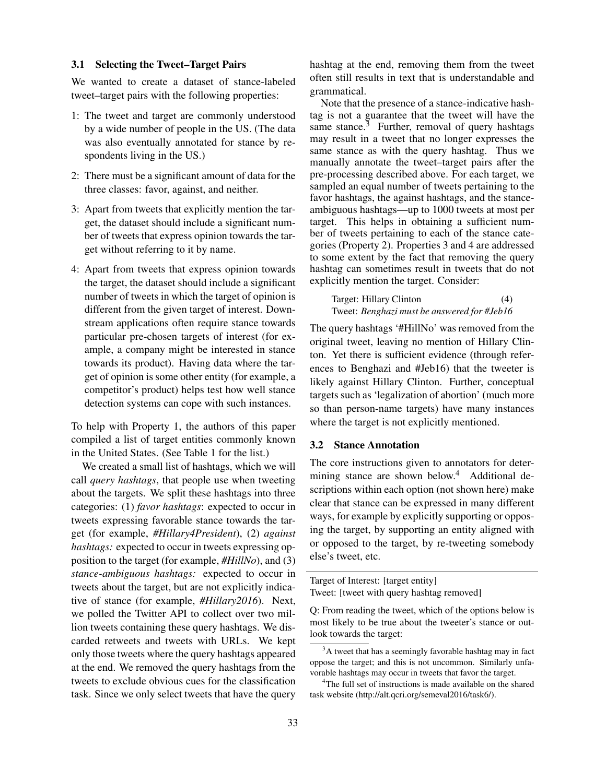## 3.1 Selecting the Tweet–Target Pairs

We wanted to create a dataset of stance-labeled tweet–target pairs with the following properties:

- 1: The tweet and target are commonly understood by a wide number of people in the US. (The data was also eventually annotated for stance by respondents living in the US.)
- 2: There must be a significant amount of data for the three classes: favor, against, and neither.
- 3: Apart from tweets that explicitly mention the target, the dataset should include a significant number of tweets that express opinion towards the target without referring to it by name.
- 4: Apart from tweets that express opinion towards the target, the dataset should include a significant number of tweets in which the target of opinion is different from the given target of interest. Downstream applications often require stance towards particular pre-chosen targets of interest (for example, a company might be interested in stance towards its product). Having data where the target of opinion is some other entity (for example, a competitor's product) helps test how well stance detection systems can cope with such instances.

To help with Property 1, the authors of this paper compiled a list of target entities commonly known in the United States. (See Table 1 for the list.)

We created a small list of hashtags, which we will call *query hashtags*, that people use when tweeting about the targets. We split these hashtags into three categories: (1) *favor hashtags*: expected to occur in tweets expressing favorable stance towards the target (for example, *#Hillary4President*), (2) *against hashtags:* expected to occur in tweets expressing opposition to the target (for example, *#HillNo*), and (3) *stance-ambiguous hashtags:* expected to occur in tweets about the target, but are not explicitly indicative of stance (for example, *#Hillary2016*). Next, we polled the Twitter API to collect over two million tweets containing these query hashtags. We discarded retweets and tweets with URLs. We kept only those tweets where the query hashtags appeared at the end. We removed the query hashtags from the tweets to exclude obvious cues for the classification task. Since we only select tweets that have the query hashtag at the end, removing them from the tweet often still results in text that is understandable and grammatical.

Note that the presence of a stance-indicative hashtag is not a guarantee that the tweet will have the same stance. $3$  Further, removal of query hashtags may result in a tweet that no longer expresses the same stance as with the query hashtag. Thus we manually annotate the tweet–target pairs after the pre-processing described above. For each target, we sampled an equal number of tweets pertaining to the favor hashtags, the against hashtags, and the stanceambiguous hashtags—up to 1000 tweets at most per target. This helps in obtaining a sufficient number of tweets pertaining to each of the stance categories (Property 2). Properties 3 and 4 are addressed to some extent by the fact that removing the query hashtag can sometimes result in tweets that do not explicitly mention the target. Consider:

Target: Hillary Clinton (4) Tweet: *Benghazi must be answered for #Jeb16*

The query hashtags '#HillNo' was removed from the original tweet, leaving no mention of Hillary Clinton. Yet there is sufficient evidence (through references to Benghazi and #Jeb16) that the tweeter is likely against Hillary Clinton. Further, conceptual targets such as 'legalization of abortion' (much more so than person-name targets) have many instances where the target is not explicitly mentioned.

## 3.2 Stance Annotation

The core instructions given to annotators for determining stance are shown below.<sup>4</sup> Additional descriptions within each option (not shown here) make clear that stance can be expressed in many different ways, for example by explicitly supporting or opposing the target, by supporting an entity aligned with or opposed to the target, by re-tweeting somebody else's tweet, etc.

Target of Interest: [target entity] Tweet: [tweet with query hashtag removed]

Q: From reading the tweet, which of the options below is most likely to be true about the tweeter's stance or outlook towards the target:

<sup>&</sup>lt;sup>3</sup>A tweet that has a seemingly favorable hashtag may in fact oppose the target; and this is not uncommon. Similarly unfavorable hashtags may occur in tweets that favor the target.

<sup>&</sup>lt;sup>4</sup>The full set of instructions is made available on the shared task website (http://alt.qcri.org/semeval2016/task6/).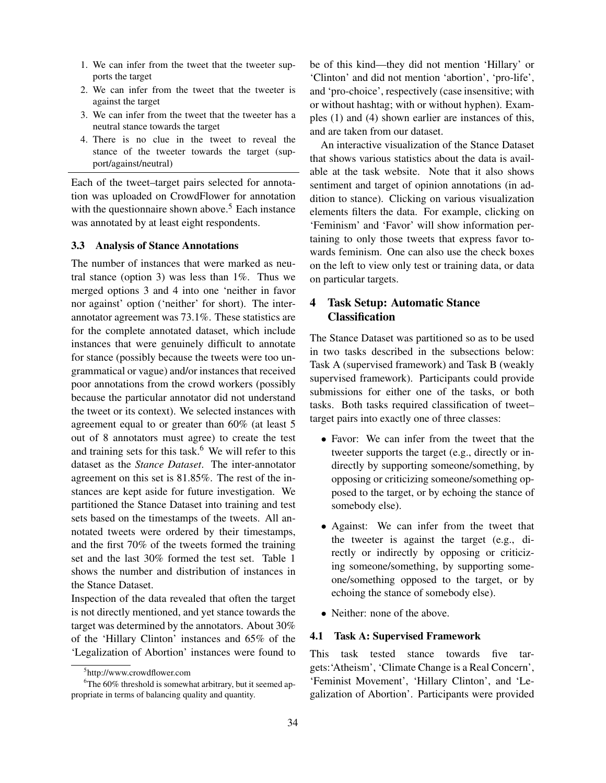- 1. We can infer from the tweet that the tweeter supports the target
- 2. We can infer from the tweet that the tweeter is against the target
- 3. We can infer from the tweet that the tweeter has a neutral stance towards the target
- 4. There is no clue in the tweet to reveal the stance of the tweeter towards the target (support/against/neutral)

Each of the tweet–target pairs selected for annotation was uploaded on CrowdFlower for annotation with the questionnaire shown above.<sup>5</sup> Each instance was annotated by at least eight respondents.

## 3.3 Analysis of Stance Annotations

The number of instances that were marked as neutral stance (option 3) was less than 1%. Thus we merged options 3 and 4 into one 'neither in favor nor against' option ('neither' for short). The interannotator agreement was 73.1%. These statistics are for the complete annotated dataset, which include instances that were genuinely difficult to annotate for stance (possibly because the tweets were too ungrammatical or vague) and/or instances that received poor annotations from the crowd workers (possibly because the particular annotator did not understand the tweet or its context). We selected instances with agreement equal to or greater than 60% (at least 5 out of 8 annotators must agree) to create the test and training sets for this task. $6$  We will refer to this dataset as the *Stance Dataset*. The inter-annotator agreement on this set is 81.85%. The rest of the instances are kept aside for future investigation. We partitioned the Stance Dataset into training and test sets based on the timestamps of the tweets. All annotated tweets were ordered by their timestamps, and the first 70% of the tweets formed the training set and the last 30% formed the test set. Table 1 shows the number and distribution of instances in the Stance Dataset.

Inspection of the data revealed that often the target is not directly mentioned, and yet stance towards the target was determined by the annotators. About 30% of the 'Hillary Clinton' instances and 65% of the 'Legalization of Abortion' instances were found to be of this kind—they did not mention 'Hillary' or 'Clinton' and did not mention 'abortion', 'pro-life', and 'pro-choice', respectively (case insensitive; with or without hashtag; with or without hyphen). Examples (1) and (4) shown earlier are instances of this, and are taken from our dataset.

An interactive visualization of the Stance Dataset that shows various statistics about the data is available at the task website. Note that it also shows sentiment and target of opinion annotations (in addition to stance). Clicking on various visualization elements filters the data. For example, clicking on 'Feminism' and 'Favor' will show information pertaining to only those tweets that express favor towards feminism. One can also use the check boxes on the left to view only test or training data, or data on particular targets.

## 4 Task Setup: Automatic Stance Classification

The Stance Dataset was partitioned so as to be used in two tasks described in the subsections below: Task A (supervised framework) and Task B (weakly supervised framework). Participants could provide submissions for either one of the tasks, or both tasks. Both tasks required classification of tweet– target pairs into exactly one of three classes:

- Favor: We can infer from the tweet that the tweeter supports the target (e.g., directly or indirectly by supporting someone/something, by opposing or criticizing someone/something opposed to the target, or by echoing the stance of somebody else).
- Against: We can infer from the tweet that the tweeter is against the target (e.g., directly or indirectly by opposing or criticizing someone/something, by supporting someone/something opposed to the target, or by echoing the stance of somebody else).
- Neither: none of the above.

## 4.1 Task A: Supervised Framework

This task tested stance towards five targets:'Atheism', 'Climate Change is a Real Concern', 'Feminist Movement', 'Hillary Clinton', and 'Legalization of Abortion'. Participants were provided

<sup>5</sup> http://www.crowdflower.com

 $60\%$  threshold is somewhat arbitrary, but it seemed appropriate in terms of balancing quality and quantity.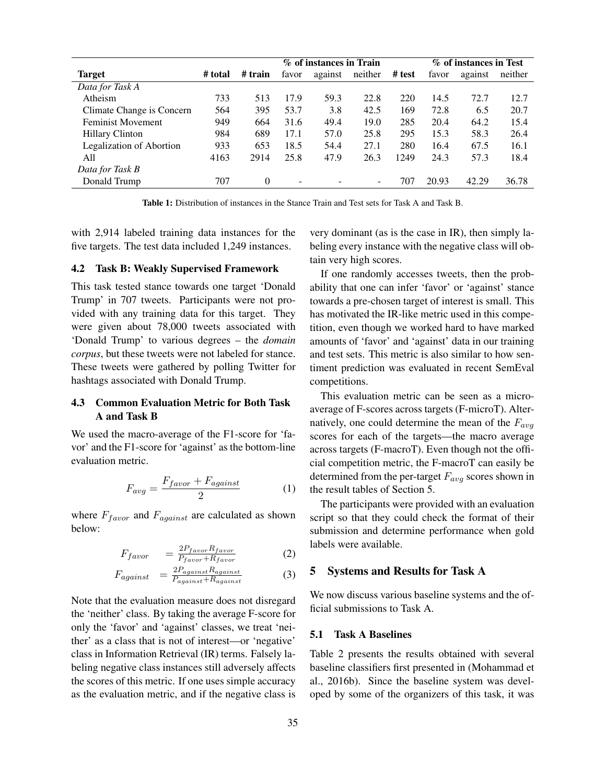|                                 |         |          | % of instances in Train |         |                          | % of instances in Test |       |         |         |
|---------------------------------|---------|----------|-------------------------|---------|--------------------------|------------------------|-------|---------|---------|
| <b>Target</b>                   | # total | # train  | favor                   | against | neither                  | # test                 | favor | against | neither |
| Data for Task A                 |         |          |                         |         |                          |                        |       |         |         |
| Atheism                         | 733     | 513      | 17.9                    | 59.3    | 22.8                     | 220                    | 14.5  | 72.7    | 12.7    |
| Climate Change is Concern       | 564     | 395      | 53.7                    | 3.8     | 42.5                     | 169                    | 72.8  | 6.5     | 20.7    |
| <b>Feminist Movement</b>        | 949     | 664      | 31.6                    | 49.4    | 19.0                     | 285                    | 20.4  | 64.2    | 15.4    |
| <b>Hillary Clinton</b>          | 984     | 689      | 17.1                    | 57.0    | 25.8                     | 295                    | 15.3  | 58.3    | 26.4    |
| <b>Legalization of Abortion</b> | 933     | 653      | 18.5                    | 54.4    | 27.1                     | 280                    | 16.4  | 67.5    | 16.1    |
| All                             | 4163    | 2914     | 25.8                    | 47.9    | 26.3                     | 1249                   | 24.3  | 57.3    | 18.4    |
| Data for Task B                 |         |          |                         |         |                          |                        |       |         |         |
| Donald Trump                    | 707     | $\Omega$ | -                       | -       | $\overline{\phantom{0}}$ | 707                    | 20.93 | 42.29   | 36.78   |

Table 1: Distribution of instances in the Stance Train and Test sets for Task A and Task B.

with 2,914 labeled training data instances for the five targets. The test data included 1,249 instances.

#### 4.2 Task B: Weakly Supervised Framework

This task tested stance towards one target 'Donald Trump' in 707 tweets. Participants were not provided with any training data for this target. They were given about 78,000 tweets associated with 'Donald Trump' to various degrees – the *domain corpus*, but these tweets were not labeled for stance. These tweets were gathered by polling Twitter for hashtags associated with Donald Trump.

## 4.3 Common Evaluation Metric for Both Task A and Task B

We used the macro-average of the F1-score for 'favor' and the F1-score for 'against' as the bottom-line evaluation metric.

$$
F_{avg} = \frac{F_{favor} + F_{against}}{2} \tag{1}
$$

where  $F_{favor}$  and  $F_{against}$  are calculated as shown below:

$$
F_{favor} = \frac{2P_{favor}R_{favor}}{P_{favor} + R_{favor}} \tag{2}
$$

$$
F_{against} = \frac{2P_{against}R_{against}}{P_{against} + R_{against}}
$$
(3)

Note that the evaluation measure does not disregard the 'neither' class. By taking the average F-score for only the 'favor' and 'against' classes, we treat 'neither' as a class that is not of interest—or 'negative' class in Information Retrieval (IR) terms. Falsely labeling negative class instances still adversely affects the scores of this metric. If one uses simple accuracy as the evaluation metric, and if the negative class is very dominant (as is the case in IR), then simply labeling every instance with the negative class will obtain very high scores.

If one randomly accesses tweets, then the probability that one can infer 'favor' or 'against' stance towards a pre-chosen target of interest is small. This has motivated the IR-like metric used in this competition, even though we worked hard to have marked amounts of 'favor' and 'against' data in our training and test sets. This metric is also similar to how sentiment prediction was evaluated in recent SemEval competitions.

This evaluation metric can be seen as a microaverage of F-scores across targets (F-microT). Alternatively, one could determine the mean of the  $F_{avg}$ scores for each of the targets—the macro average across targets (F-macroT). Even though not the official competition metric, the F-macroT can easily be determined from the per-target  $F_{avg}$  scores shown in the result tables of Section 5.

The participants were provided with an evaluation script so that they could check the format of their submission and determine performance when gold labels were available.

#### 5 Systems and Results for Task A

We now discuss various baseline systems and the official submissions to Task A.

## 5.1 Task A Baselines

Table 2 presents the results obtained with several baseline classifiers first presented in (Mohammad et al., 2016b). Since the baseline system was developed by some of the organizers of this task, it was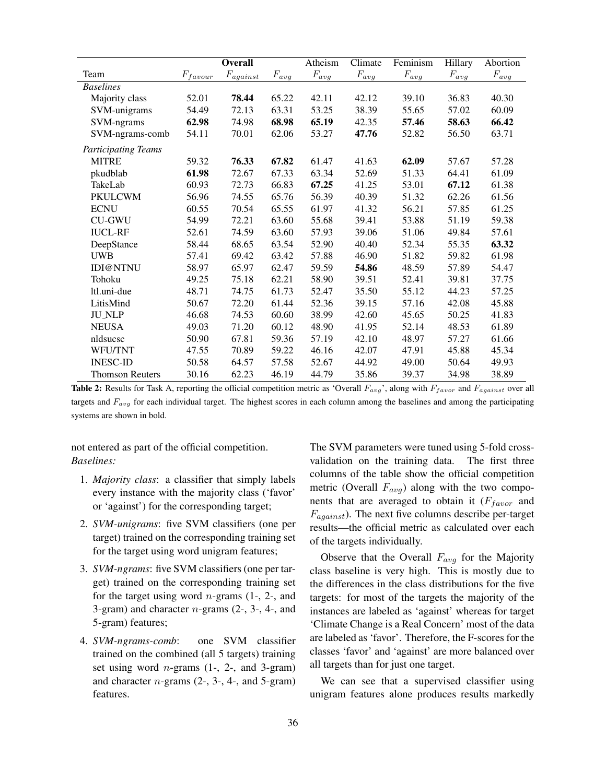|                            |             | <b>Overall</b>          |           | Atheism   | Climate   | Feminism  | Hillary   | Abortion  |
|----------------------------|-------------|-------------------------|-----------|-----------|-----------|-----------|-----------|-----------|
| Team                       | $F_{favor}$ | $\mathcal{F}_{against}$ | $F_{avg}$ | $F_{avg}$ | $F_{avg}$ | $F_{avg}$ | $F_{avg}$ | $F_{avg}$ |
| <b>Baselines</b>           |             |                         |           |           |           |           |           |           |
| Majority class             | 52.01       | 78.44                   | 65.22     | 42.11     | 42.12     | 39.10     | 36.83     | 40.30     |
| SVM-unigrams               | 54.49       | 72.13                   | 63.31     | 53.25     | 38.39     | 55.65     | 57.02     | 60.09     |
| SVM-ngrams                 | 62.98       | 74.98                   | 68.98     | 65.19     | 42.35     | 57.46     | 58.63     | 66.42     |
| SVM-ngrams-comb            | 54.11       | 70.01                   | 62.06     | 53.27     | 47.76     | 52.82     | 56.50     | 63.71     |
| <b>Participating Teams</b> |             |                         |           |           |           |           |           |           |
| <b>MITRE</b>               | 59.32       | 76.33                   | 67.82     | 61.47     | 41.63     | 62.09     | 57.67     | 57.28     |
| pkudblab                   | 61.98       | 72.67                   | 67.33     | 63.34     | 52.69     | 51.33     | 64.41     | 61.09     |
| TakeLab                    | 60.93       | 72.73                   | 66.83     | 67.25     | 41.25     | 53.01     | 67.12     | 61.38     |
| <b>PKULCWM</b>             | 56.96       | 74.55                   | 65.76     | 56.39     | 40.39     | 51.32     | 62.26     | 61.56     |
| <b>ECNU</b>                | 60.55       | 70.54                   | 65.55     | 61.97     | 41.32     | 56.21     | 57.85     | 61.25     |
| <b>CU-GWU</b>              | 54.99       | 72.21                   | 63.60     | 55.68     | 39.41     | 53.88     | 51.19     | 59.38     |
| <b>IUCL-RF</b>             | 52.61       | 74.59                   | 63.60     | 57.93     | 39.06     | 51.06     | 49.84     | 57.61     |
| DeepStance                 | 58.44       | 68.65                   | 63.54     | 52.90     | 40.40     | 52.34     | 55.35     | 63.32     |
| <b>UWB</b>                 | 57.41       | 69.42                   | 63.42     | 57.88     | 46.90     | 51.82     | 59.82     | 61.98     |
| IDI@NTNU                   | 58.97       | 65.97                   | 62.47     | 59.59     | 54.86     | 48.59     | 57.89     | 54.47     |
| Tohoku                     | 49.25       | 75.18                   | 62.21     | 58.90     | 39.51     | 52.41     | 39.81     | 37.75     |
| ltl.uni-due                | 48.71       | 74.75                   | 61.73     | 52.47     | 35.50     | 55.12     | 44.23     | 57.25     |
| LitisMind                  | 50.67       | 72.20                   | 61.44     | 52.36     | 39.15     | 57.16     | 42.08     | 45.88     |
| <b>JU_NLP</b>              | 46.68       | 74.53                   | 60.60     | 38.99     | 42.60     | 45.65     | 50.25     | 41.83     |
| <b>NEUSA</b>               | 49.03       | 71.20                   | 60.12     | 48.90     | 41.95     | 52.14     | 48.53     | 61.89     |
| nldsucsc                   | 50.90       | 67.81                   | 59.36     | 57.19     | 42.10     | 48.97     | 57.27     | 61.66     |
| WFU/TNT                    | 47.55       | 70.89                   | 59.22     | 46.16     | 42.07     | 47.91     | 45.88     | 45.34     |
| <b>INESC-ID</b>            | 50.58       | 64.57                   | 57.58     | 52.67     | 44.92     | 49.00     | 50.64     | 49.93     |
| <b>Thomson Reuters</b>     | 30.16       | 62.23                   | 46.19     | 44.79     | 35.86     | 39.37     | 34.98     | 38.89     |

**Table 2:** Results for Task A, reporting the official competition metric as 'Overall  $F_{avg}$ ', along with  $F_{favor}$  and  $F_{against}$  over all targets and  $F_{avg}$  for each individual target. The highest scores in each column among the baselines and among the participating systems are shown in bold.

not entered as part of the official competition. *Baselines:*

- 1. *Majority class*: a classifier that simply labels every instance with the majority class ('favor' or 'against') for the corresponding target;
- 2. *SVM-unigrams*: five SVM classifiers (one per target) trained on the corresponding training set for the target using word unigram features;
- 3. *SVM-ngrams*: five SVM classifiers (one per target) trained on the corresponding training set for the target using word  $n$ -grams (1-, 2-, and 3-gram) and character  $n$ -grams (2-, 3-, 4-, and 5-gram) features;
- 4. *SVM-ngrams-comb*: one SVM classifier trained on the combined (all 5 targets) training set using word  $n$ -grams (1-, 2-, and 3-gram) and character  $n$ -grams  $(2, 3, 4, 4)$ , and 5-gram) features.

The SVM parameters were tuned using 5-fold crossvalidation on the training data. The first three columns of the table show the official competition metric (Overall  $F_{avg}$ ) along with the two components that are averaged to obtain it  $(F<sub>favor</sub>$  and  $F_{against}$ ). The next five columns describe per-target results—the official metric as calculated over each of the targets individually.

Observe that the Overall  $F_{avg}$  for the Majority class baseline is very high. This is mostly due to the differences in the class distributions for the five targets: for most of the targets the majority of the instances are labeled as 'against' whereas for target 'Climate Change is a Real Concern' most of the data are labeled as 'favor'. Therefore, the F-scores for the classes 'favor' and 'against' are more balanced over all targets than for just one target.

We can see that a supervised classifier using unigram features alone produces results markedly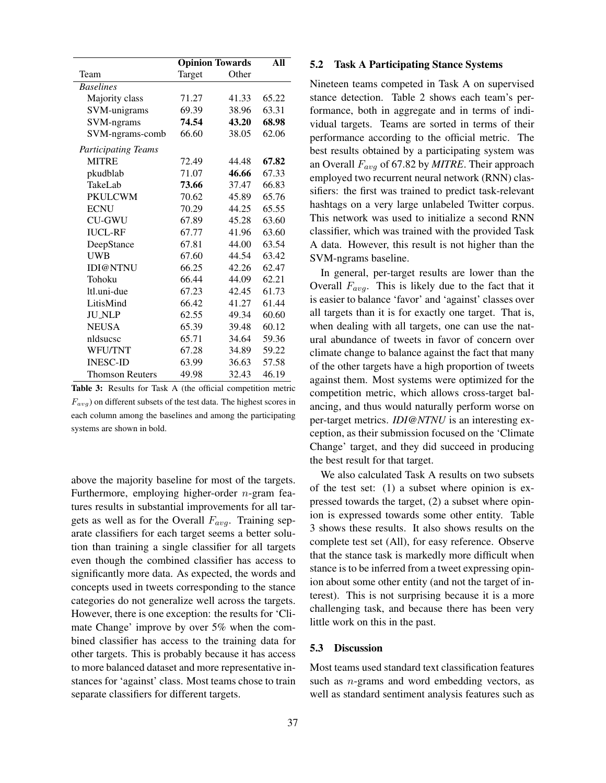|                            | <b>Opinion Towards</b> | All   |       |
|----------------------------|------------------------|-------|-------|
| Team                       | Target                 | Other |       |
| <b>Baselines</b>           |                        |       |       |
| Majority class             | 71.27                  | 41.33 | 65.22 |
| SVM-unigrams               | 69.39                  | 38.96 | 63.31 |
| SVM-ngrams                 | 74.54                  | 43.20 | 68.98 |
| SVM-ngrams-comb            | 66.60                  | 38.05 | 62.06 |
| <b>Participating Teams</b> |                        |       |       |
| <b>MITRE</b>               | 72.49                  | 44.48 | 67.82 |
| pkudblab                   | 71.07                  | 46.66 | 67.33 |
| TakeLab                    | 73.66                  | 37.47 | 66.83 |
| <b>PKULCWM</b>             | 70.62                  | 45.89 | 65.76 |
| <b>ECNU</b>                | 70.29                  | 44.25 | 65.55 |
| <b>CU-GWU</b>              | 67.89                  | 45.28 | 63.60 |
| <b>IUCL-RF</b>             | 67.77                  | 41.96 | 63.60 |
| DeepStance                 | 67.81                  | 44.00 | 63.54 |
| <b>UWB</b>                 | 67.60                  | 44.54 | 63.42 |
| <b>IDI@NTNU</b>            | 66.25                  | 42.26 | 62.47 |
| Tohoku                     | 66.44                  | 44.09 | 62.21 |
| ltl.uni-due                | 67.23                  | 42.45 | 61.73 |
| LitisMind                  | 66.42                  | 41.27 | 61.44 |
| <b>JU_NLP</b>              | 62.55                  | 49.34 | 60.60 |
| <b>NEUSA</b>               | 65.39                  | 39.48 | 60.12 |
| nldsucsc                   | 65.71                  | 34.64 | 59.36 |
| <b>WFU/TNT</b>             | 67.28                  | 34.89 | 59.22 |
| <b>INESC-ID</b>            | 63.99                  | 36.63 | 57.58 |
| <b>Thomson Reuters</b>     | 49.98                  | 32.43 | 46.19 |

Table 3: Results for Task A (the official competition metric  $F_{avg}$ ) on different subsets of the test data. The highest scores in each column among the baselines and among the participating systems are shown in bold.

above the majority baseline for most of the targets. Furthermore, employing higher-order  $n$ -gram features results in substantial improvements for all targets as well as for the Overall  $F_{avg}$ . Training separate classifiers for each target seems a better solution than training a single classifier for all targets even though the combined classifier has access to significantly more data. As expected, the words and concepts used in tweets corresponding to the stance categories do not generalize well across the targets. However, there is one exception: the results for 'Climate Change' improve by over 5% when the combined classifier has access to the training data for other targets. This is probably because it has access to more balanced dataset and more representative instances for 'against' class. Most teams chose to train separate classifiers for different targets.

#### 5.2 Task A Participating Stance Systems

Nineteen teams competed in Task A on supervised stance detection. Table 2 shows each team's performance, both in aggregate and in terms of individual targets. Teams are sorted in terms of their performance according to the official metric. The best results obtained by a participating system was an Overall Favg of 67.82 by *MITRE*. Their approach employed two recurrent neural network (RNN) classifiers: the first was trained to predict task-relevant hashtags on a very large unlabeled Twitter corpus. This network was used to initialize a second RNN classifier, which was trained with the provided Task A data. However, this result is not higher than the SVM-ngrams baseline.

In general, per-target results are lower than the Overall  $F_{avg}$ . This is likely due to the fact that it is easier to balance 'favor' and 'against' classes over all targets than it is for exactly one target. That is, when dealing with all targets, one can use the natural abundance of tweets in favor of concern over climate change to balance against the fact that many of the other targets have a high proportion of tweets against them. Most systems were optimized for the competition metric, which allows cross-target balancing, and thus would naturally perform worse on per-target metrics. *IDI@NTNU* is an interesting exception, as their submission focused on the 'Climate Change' target, and they did succeed in producing the best result for that target.

We also calculated Task A results on two subsets of the test set: (1) a subset where opinion is expressed towards the target, (2) a subset where opinion is expressed towards some other entity. Table 3 shows these results. It also shows results on the complete test set (All), for easy reference. Observe that the stance task is markedly more difficult when stance is to be inferred from a tweet expressing opinion about some other entity (and not the target of interest). This is not surprising because it is a more challenging task, and because there has been very little work on this in the past.

## 5.3 Discussion

Most teams used standard text classification features such as  $n$ -grams and word embedding vectors, as well as standard sentiment analysis features such as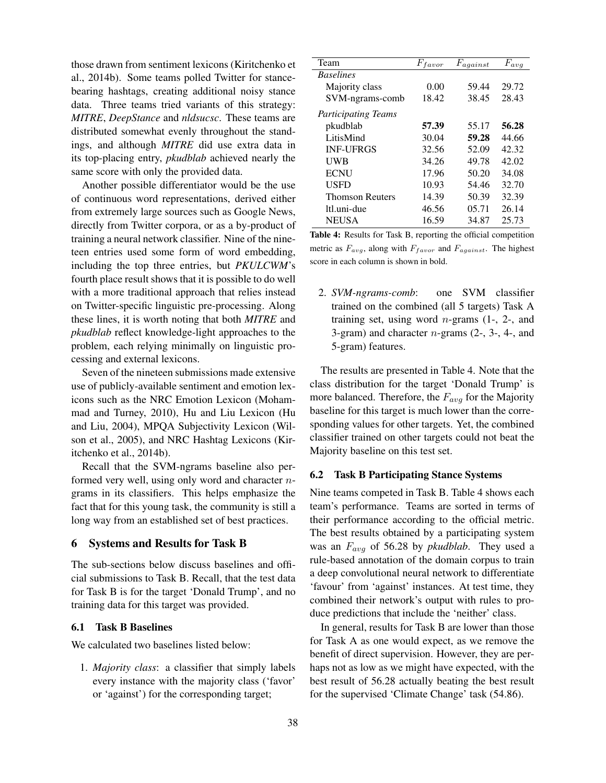those drawn from sentiment lexicons (Kiritchenko et al., 2014b). Some teams polled Twitter for stancebearing hashtags, creating additional noisy stance data. Three teams tried variants of this strategy: *MITRE*, *DeepStance* and *nldsucsc*. These teams are distributed somewhat evenly throughout the standings, and although *MITRE* did use extra data in its top-placing entry, *pkudblab* achieved nearly the same score with only the provided data.

Another possible differentiator would be the use of continuous word representations, derived either from extremely large sources such as Google News, directly from Twitter corpora, or as a by-product of training a neural network classifier. Nine of the nineteen entries used some form of word embedding, including the top three entries, but *PKULCWM*'s fourth place result shows that it is possible to do well with a more traditional approach that relies instead on Twitter-specific linguistic pre-processing. Along these lines, it is worth noting that both *MITRE* and *pkudblab* reflect knowledge-light approaches to the problem, each relying minimally on linguistic processing and external lexicons.

Seven of the nineteen submissions made extensive use of publicly-available sentiment and emotion lexicons such as the NRC Emotion Lexicon (Mohammad and Turney, 2010), Hu and Liu Lexicon (Hu and Liu, 2004), MPQA Subjectivity Lexicon (Wilson et al., 2005), and NRC Hashtag Lexicons (Kiritchenko et al., 2014b).

Recall that the SVM-ngrams baseline also performed very well, using only word and character ngrams in its classifiers. This helps emphasize the fact that for this young task, the community is still a long way from an established set of best practices.

## 6 Systems and Results for Task B

The sub-sections below discuss baselines and official submissions to Task B. Recall, that the test data for Task B is for the target 'Donald Trump', and no training data for this target was provided.

### 6.1 Task B Baselines

We calculated two baselines listed below:

1. *Majority class*: a classifier that simply labels every instance with the majority class ('favor' or 'against') for the corresponding target;

| Team                       | $F_{favor}$ | $F_{against}$ | $F_{avg}$ |
|----------------------------|-------------|---------------|-----------|
| <b>Baselines</b>           |             |               |           |
| Majority class             | 0.00        | 59.44         | 29.72     |
| SVM-ngrams-comb            | 18.42       | 38.45         | 28.43     |
| <b>Participating Teams</b> |             |               |           |
| pkudblab                   | 57.39       | 55.17         | 56.28     |
| LitisMind                  | 30.04       | 59.28         | 44.66     |
| <b>INF-UFRGS</b>           | 32.56       | 52.09         | 42.32     |
| UWB                        | 34.26       | 49.78         | 42.02     |
| <b>ECNU</b>                | 17.96       | 50.20         | 34.08     |
| <b>USFD</b>                | 10.93       | 54.46         | 32.70     |
| <b>Thomson Reuters</b>     | 14.39       | 50.39         | 32.39     |
| ltl.uni-due                | 46.56       | 05.71         | 26.14     |
| <b>NEUSA</b>               | 16.59       | 34.87         | 25.73     |

Table 4: Results for Task B, reporting the official competition metric as  $F_{avg}$ , along with  $F_{favor}$  and  $F_{against}$ . The highest score in each column is shown in bold.

2. *SVM-ngrams-comb*: one SVM classifier trained on the combined (all 5 targets) Task A training set, using word  $n$ -grams  $(1, 2)$ -, and 3-gram) and character  $n$ -grams  $(2, 3, 4, 4)$ 5-gram) features.

The results are presented in Table 4. Note that the class distribution for the target 'Donald Trump' is more balanced. Therefore, the  $F_{avg}$  for the Majority baseline for this target is much lower than the corresponding values for other targets. Yet, the combined classifier trained on other targets could not beat the Majority baseline on this test set.

#### 6.2 Task B Participating Stance Systems

Nine teams competed in Task B. Table 4 shows each team's performance. Teams are sorted in terms of their performance according to the official metric. The best results obtained by a participating system was an Favg of 56.28 by *pkudblab*. They used a rule-based annotation of the domain corpus to train a deep convolutional neural network to differentiate 'favour' from 'against' instances. At test time, they combined their network's output with rules to produce predictions that include the 'neither' class.

In general, results for Task B are lower than those for Task A as one would expect, as we remove the benefit of direct supervision. However, they are perhaps not as low as we might have expected, with the best result of 56.28 actually beating the best result for the supervised 'Climate Change' task (54.86).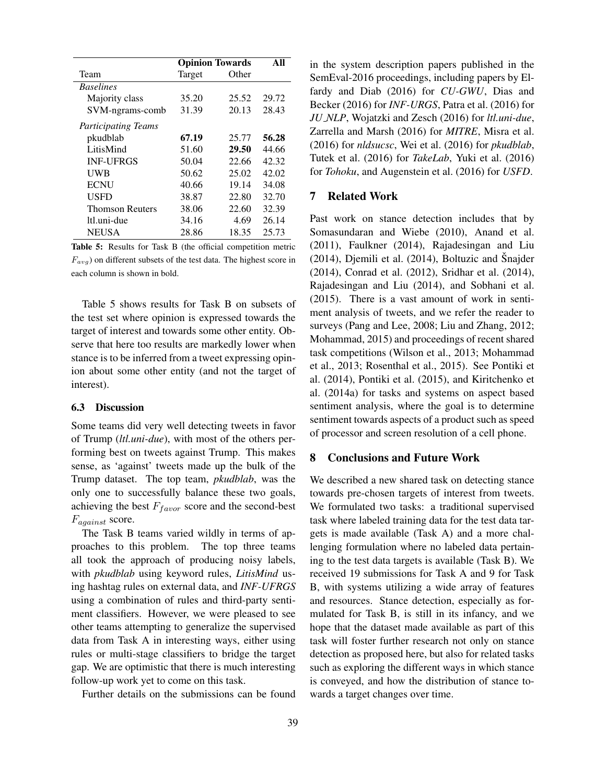|                            | <b>Opinion Towards</b> | All   |       |
|----------------------------|------------------------|-------|-------|
| Team                       | Target                 | Other |       |
| <b>Baselines</b>           |                        |       |       |
| Majority class             | 35.20                  | 25.52 | 29.72 |
| SVM-ngrams-comb            | 31.39                  | 20.13 | 28.43 |
| <b>Participating Teams</b> |                        |       |       |
| pkudblab                   | 67.19                  | 25.77 | 56.28 |
| LitisMind                  | 51.60                  | 29.50 | 44.66 |
| <b>INF-UFRGS</b>           | 50.04                  | 22.66 | 42.32 |
| <b>UWB</b>                 | 50.62                  | 25.02 | 42.02 |
| <b>ECNU</b>                | 40.66                  | 19.14 | 34.08 |
| <b>USED</b>                | 38.87                  | 22.80 | 32.70 |
| <b>Thomson Reuters</b>     | 38.06                  | 22.60 | 32.39 |
| ltl.uni-due                | 34.16                  | 4.69  | 26.14 |
| <b>NEUSA</b>               | 28.86                  | 18.35 | 25.73 |

Table 5: Results for Task B (the official competition metric  $F_{avg}$ ) on different subsets of the test data. The highest score in each column is shown in bold.

Table 5 shows results for Task B on subsets of the test set where opinion is expressed towards the target of interest and towards some other entity. Observe that here too results are markedly lower when stance is to be inferred from a tweet expressing opinion about some other entity (and not the target of interest).

### 6.3 Discussion

Some teams did very well detecting tweets in favor of Trump (*ltl.uni-due*), with most of the others performing best on tweets against Trump. This makes sense, as 'against' tweets made up the bulk of the Trump dataset. The top team, *pkudblab*, was the only one to successfully balance these two goals, achieving the best  $F_{favor}$  score and the second-best  $F_{against}$  score.

The Task B teams varied wildly in terms of approaches to this problem. The top three teams all took the approach of producing noisy labels, with *pkudblab* using keyword rules, *LitisMind* using hashtag rules on external data, and *INF-UFRGS* using a combination of rules and third-party sentiment classifiers. However, we were pleased to see other teams attempting to generalize the supervised data from Task A in interesting ways, either using rules or multi-stage classifiers to bridge the target gap. We are optimistic that there is much interesting follow-up work yet to come on this task.

Further details on the submissions can be found

in the system description papers published in the SemEval-2016 proceedings, including papers by Elfardy and Diab (2016) for *CU-GWU*, Dias and Becker (2016) for *INF-URGS*, Patra et al. (2016) for *JU NLP*, Wojatzki and Zesch (2016) for *ltl.uni-due*, Zarrella and Marsh (2016) for *MITRE*, Misra et al. (2016) for *nldsucsc*, Wei et al. (2016) for *pkudblab*, Tutek et al. (2016) for *TakeLab*, Yuki et al. (2016) for *Tohoku*, and Augenstein et al. (2016) for *USFD*.

## 7 Related Work

Past work on stance detection includes that by Somasundaran and Wiebe (2010), Anand et al. (2011), Faulkner (2014), Rajadesingan and Liu  $(2014)$ , Djemili et al.  $(2014)$ , Boltuzic and Snajder (2014), Conrad et al. (2012), Sridhar et al. (2014), Rajadesingan and Liu (2014), and Sobhani et al. (2015). There is a vast amount of work in sentiment analysis of tweets, and we refer the reader to surveys (Pang and Lee, 2008; Liu and Zhang, 2012; Mohammad, 2015) and proceedings of recent shared task competitions (Wilson et al., 2013; Mohammad et al., 2013; Rosenthal et al., 2015). See Pontiki et al. (2014), Pontiki et al. (2015), and Kiritchenko et al. (2014a) for tasks and systems on aspect based sentiment analysis, where the goal is to determine sentiment towards aspects of a product such as speed of processor and screen resolution of a cell phone.

## 8 Conclusions and Future Work

We described a new shared task on detecting stance towards pre-chosen targets of interest from tweets. We formulated two tasks: a traditional supervised task where labeled training data for the test data targets is made available (Task A) and a more challenging formulation where no labeled data pertaining to the test data targets is available (Task B). We received 19 submissions for Task A and 9 for Task B, with systems utilizing a wide array of features and resources. Stance detection, especially as formulated for Task B, is still in its infancy, and we hope that the dataset made available as part of this task will foster further research not only on stance detection as proposed here, but also for related tasks such as exploring the different ways in which stance is conveyed, and how the distribution of stance towards a target changes over time.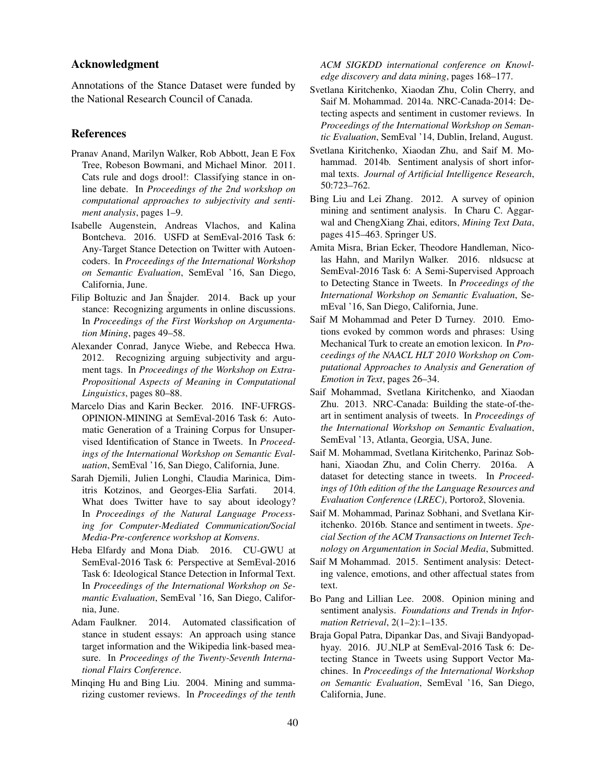## Acknowledgment

Annotations of the Stance Dataset were funded by the National Research Council of Canada.

#### References

- Pranav Anand, Marilyn Walker, Rob Abbott, Jean E Fox Tree, Robeson Bowmani, and Michael Minor. 2011. Cats rule and dogs drool!: Classifying stance in online debate. In *Proceedings of the 2nd workshop on computational approaches to subjectivity and sentiment analysis*, pages 1–9.
- Isabelle Augenstein, Andreas Vlachos, and Kalina Bontcheva. 2016. USFD at SemEval-2016 Task 6: Any-Target Stance Detection on Twitter with Autoencoders. In *Proceedings of the International Workshop on Semantic Evaluation*, SemEval '16, San Diego, California, June.
- Filip Boltuzic and Jan Šnajder. 2014. Back up your stance: Recognizing arguments in online discussions. In *Proceedings of the First Workshop on Argumentation Mining*, pages 49–58.
- Alexander Conrad, Janyce Wiebe, and Rebecca Hwa. 2012. Recognizing arguing subjectivity and argument tags. In *Proceedings of the Workshop on Extra-Propositional Aspects of Meaning in Computational Linguistics*, pages 80–88.
- Marcelo Dias and Karin Becker. 2016. INF-UFRGS-OPINION-MINING at SemEval-2016 Task 6: Automatic Generation of a Training Corpus for Unsupervised Identification of Stance in Tweets. In *Proceedings of the International Workshop on Semantic Evaluation*, SemEval '16, San Diego, California, June.
- Sarah Djemili, Julien Longhi, Claudia Marinica, Dimitris Kotzinos, and Georges-Elia Sarfati. 2014. What does Twitter have to say about ideology? In *Proceedings of the Natural Language Processing for Computer-Mediated Communication/Social Media-Pre-conference workshop at Konvens*.
- Heba Elfardy and Mona Diab. 2016. CU-GWU at SemEval-2016 Task 6: Perspective at SemEval-2016 Task 6: Ideological Stance Detection in Informal Text. In *Proceedings of the International Workshop on Semantic Evaluation*, SemEval '16, San Diego, California, June.
- Adam Faulkner. 2014. Automated classification of stance in student essays: An approach using stance target information and the Wikipedia link-based measure. In *Proceedings of the Twenty-Seventh International Flairs Conference*.
- Minqing Hu and Bing Liu. 2004. Mining and summarizing customer reviews. In *Proceedings of the tenth*

*ACM SIGKDD international conference on Knowledge discovery and data mining*, pages 168–177.

- Svetlana Kiritchenko, Xiaodan Zhu, Colin Cherry, and Saif M. Mohammad. 2014a. NRC-Canada-2014: Detecting aspects and sentiment in customer reviews. In *Proceedings of the International Workshop on Semantic Evaluation*, SemEval '14, Dublin, Ireland, August.
- Svetlana Kiritchenko, Xiaodan Zhu, and Saif M. Mohammad. 2014b. Sentiment analysis of short informal texts. *Journal of Artificial Intelligence Research*, 50:723–762.
- Bing Liu and Lei Zhang. 2012. A survey of opinion mining and sentiment analysis. In Charu C. Aggarwal and ChengXiang Zhai, editors, *Mining Text Data*, pages 415–463. Springer US.
- Amita Misra, Brian Ecker, Theodore Handleman, Nicolas Hahn, and Marilyn Walker. 2016. nldsucsc at SemEval-2016 Task 6: A Semi-Supervised Approach to Detecting Stance in Tweets. In *Proceedings of the International Workshop on Semantic Evaluation*, SemEval '16, San Diego, California, June.
- Saif M Mohammad and Peter D Turney. 2010. Emotions evoked by common words and phrases: Using Mechanical Turk to create an emotion lexicon. In *Proceedings of the NAACL HLT 2010 Workshop on Computational Approaches to Analysis and Generation of Emotion in Text*, pages 26–34.
- Saif Mohammad, Svetlana Kiritchenko, and Xiaodan Zhu. 2013. NRC-Canada: Building the state-of-theart in sentiment analysis of tweets. In *Proceedings of the International Workshop on Semantic Evaluation*, SemEval '13, Atlanta, Georgia, USA, June.
- Saif M. Mohammad, Svetlana Kiritchenko, Parinaz Sobhani, Xiaodan Zhu, and Colin Cherry. 2016a. A dataset for detecting stance in tweets. In *Proceedings of 10th edition of the the Language Resources and Evaluation Conference (LREC)*, Portorož, Slovenia.
- Saif M. Mohammad, Parinaz Sobhani, and Svetlana Kiritchenko. 2016b. Stance and sentiment in tweets. *Special Section of the ACM Transactions on Internet Technology on Argumentation in Social Media*, Submitted.
- Saif M Mohammad. 2015. Sentiment analysis: Detecting valence, emotions, and other affectual states from text.
- Bo Pang and Lillian Lee. 2008. Opinion mining and sentiment analysis. *Foundations and Trends in Information Retrieval*, 2(1–2):1–135.
- Braja Gopal Patra, Dipankar Das, and Sivaji Bandyopadhyay. 2016. JU\_NLP at SemEval-2016 Task 6: Detecting Stance in Tweets using Support Vector Machines. In *Proceedings of the International Workshop on Semantic Evaluation*, SemEval '16, San Diego, California, June.